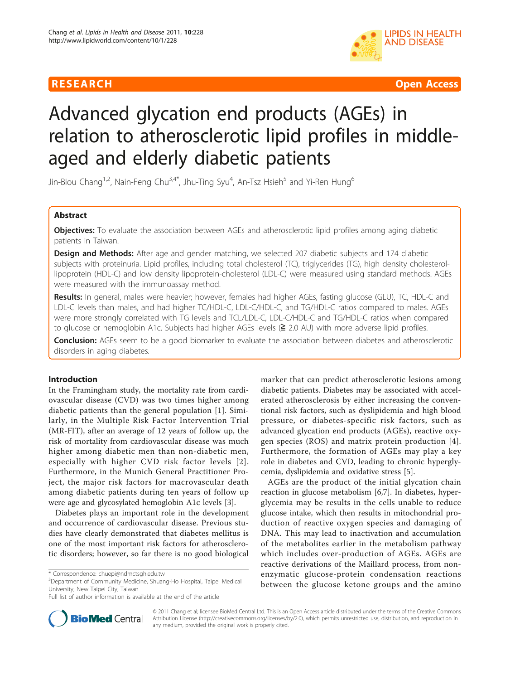

R E S EARCH Open Access

# Advanced glycation end products (AGEs) in relation to atherosclerotic lipid profiles in middleaged and elderly diabetic patients

Jin-Biou Chang<sup>1,2</sup>, Nain-Feng Chu<sup>3,4\*</sup>, Jhu-Ting Syu<sup>4</sup>, An-Tsz Hsieh<sup>5</sup> and Yi-Ren Hung<sup>6</sup>

# Abstract

**Objectives:** To evaluate the association between AGEs and atherosclerotic lipid profiles among aging diabetic patients in Taiwan.

**Design and Methods:** After age and gender matching, we selected 207 diabetic subjects and 174 diabetic subjects with proteinuria. Lipid profiles, including total cholesterol (TC), triglycerides (TG), high density cholesterollipoprotein (HDL-C) and low density lipoprotein-cholesterol (LDL-C) were measured using standard methods. AGEs were measured with the immunoassay method.

Results: In general, males were heavier; however, females had higher AGEs, fasting glucose (GLU), TC, HDL-C and LDL-C levels than males, and had higher TC/HDL-C, LDL-C/HDL-C, and TG/HDL-C ratios compared to males. AGEs were more strongly correlated with TG levels and TCL/LDL-C, LDL-C/HDL-C and TG/HDL-C ratios when compared to glucose or hemoglobin A1c. Subjects had higher AGEs levels (≧ 2.0 AU) with more adverse lipid profiles.

**Conclusion:** AGEs seem to be a good biomarker to evaluate the association between diabetes and atherosclerotic disorders in aging diabetes.

# Introduction

In the Framingham study, the mortality rate from cardiovascular disease (CVD) was two times higher among diabetic patients than the general population [[1](#page-5-0)]. Similarly, in the Multiple Risk Factor Intervention Trial (MR-FIT), after an average of 12 years of follow up, the risk of mortality from cardiovascular disease was much higher among diabetic men than non-diabetic men, especially with higher CVD risk factor levels [[2\]](#page-5-0). Furthermore, in the Munich General Practitioner Project, the major risk factors for macrovascular death among diabetic patients during ten years of follow up were age and glycosylated hemoglobin A1c levels [\[3](#page-5-0)].

Diabetes plays an important role in the development and occurrence of cardiovascular disease. Previous studies have clearly demonstrated that diabetes mellitus is one of the most important risk factors for atherosclerotic disorders; however, so far there is no good biological

<sup>3</sup>Department of Community Medicine, Shuang-Ho Hospital, Taipei Medical University, New Taipei City, Taiwan

marker that can predict atherosclerotic lesions among diabetic patients. Diabetes may be associated with accelerated atherosclerosis by either increasing the conventional risk factors, such as dyslipidemia and high blood pressure, or diabetes-specific risk factors, such as advanced glycation end products (AGEs), reactive oxygen species (ROS) and matrix protein production [[4\]](#page-5-0). Furthermore, the formation of AGEs may play a key role in diabetes and CVD, leading to chronic hyperglycemia, dyslipidemia and oxidative stress [[5\]](#page-5-0).

AGEs are the product of the initial glycation chain reaction in glucose metabolism [[6](#page-5-0),[7\]](#page-5-0). In diabetes, hyperglycemia may be results in the cells unable to reduce glucose intake, which then results in mitochondrial production of reactive oxygen species and damaging of DNA. This may lead to inactivation and accumulation of the metabolites earlier in the metabolism pathway which includes over-production of AGEs. AGEs are reactive derivations of the Maillard process, from nonenzymatic glucose-protein condensation reactions between the glucose ketone groups and the amino



© 2011 Chang et al; licensee BioMed Central Ltd. This is an Open Access article distributed under the terms of the Creative Commons Attribution License [\(http://creativecommons.org/licenses/by/2.0](http://creativecommons.org/licenses/by/2.0)), which permits unrestricted use, distribution, and reproduction in any medium, provided the original work is properly cited.

<sup>\*</sup> Correspondence: [chuepi@ndmctsgh.edu.tw](mailto:chuepi@ndmctsgh.edu.tw)

Full list of author information is available at the end of the article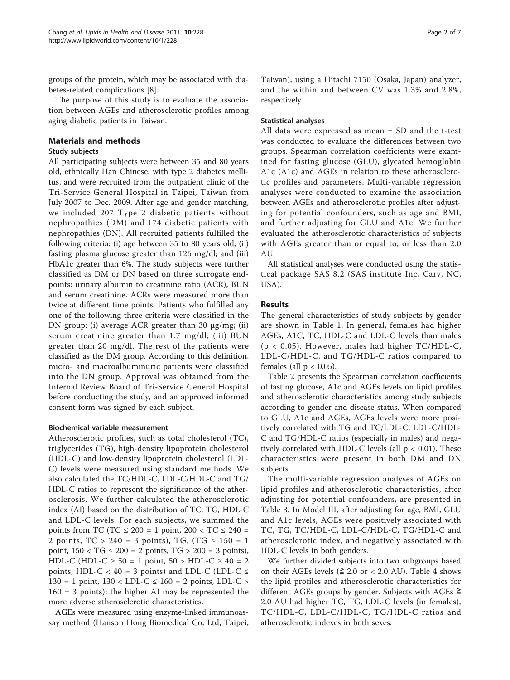groups of the protein, which may be associated with diabetes-related complications [[8\]](#page-5-0).

The purpose of this study is to evaluate the association between AGEs and atherosclerotic profiles among aging diabetic patients in Taiwan.

### Materials and methods

#### Study subjects

All participating subjects were between 35 and 80 years old, ethnically Han Chinese, with type 2 diabetes mellitus, and were recruited from the outpatient clinic of the Tri-Service General Hospital in Taipei, Taiwan from July 2007 to Dec. 2009. After age and gender matching, we included 207 Type 2 diabetic patients without nephropathies (DM) and 174 diabetic patients with nephropathies (DN). All recruited patients fulfilled the following criteria: (i) age between 35 to 80 years old; (ii) fasting plasma glucose greater than 126 mg/dl; and (iii) HbA1c greater than 6%. The study subjects were further classified as DM or DN based on three surrogate endpoints: urinary albumin to creatinine ratio (ACR), BUN and serum creatinine. ACRs were measured more than twice at different time points. Patients who fulfilled any one of the following three criteria were classified in the DN group: (i) average ACR greater than 30 μg/mg; (ii) serum creatinine greater than 1.7 mg/dl; (iii) BUN greater than 20 mg/dl. The rest of the patients were classified as the DM group. According to this definition, micro- and macroalbuminuric patients were classified into the DN group. Approval was obtained from the Internal Review Board of Tri-Service General Hospital before conducting the study, and an approved informed consent form was signed by each subject.

#### Biochemical variable measurement

Atherosclerotic profiles, such as total cholesterol (TC), triglycerides (TG), high-density lipoprotein cholesterol (HDL-C) and low-density lipoprotein cholesterol (LDL-C) levels were measured using standard methods. We also calculated the TC/HDL-C, LDL-C/HDL-C and TG/ HDL-C ratios to represent the significance of the atherosclerosis. We further calculated the atherosclerotic index (AI) based on the distribution of TC, TG, HDL-C and LDL-C levels. For each subjects, we summed the points from TC (TC ≤ 200 = 1 point, 200 < TC ≤ 240 = 2 points,  $TC > 240 = 3$  points),  $TG$ ,  $(TG \le 150 = 1$ point,  $150 < TG \le 200 = 2$  points,  $TG > 200 = 3$  points), HDL-C (HDL-C ≥ 50 = 1 point, 50 > HDL-C ≥ 40 = 2 points, HDL-C < 40 = 3 points) and LDL-C (LDL-C  $\le$  $130 = 1$  point,  $130 < LDL-C \le 160 = 2$  points,  $LDL-C >$ 160 = 3 points); the higher AI may be represented the more adverse atherosclerotic characteristics.

AGEs were measured using enzyme-linked immunoassay method (Hanson Hong Biomedical Co, Ltd, Taipei,

Taiwan), using a Hitachi 7150 (Osaka, Japan) analyzer, and the within and between CV was 1.3% and 2.8%, respectively.

#### Statistical analyses

All data were expressed as mean ± SD and the t-test was conducted to evaluate the differences between two groups. Spearman correlation coefficients were examined for fasting glucose (GLU), glycated hemoglobin A1c (A1c) and AGEs in relation to these atherosclerotic profiles and parameters. Multi-variable regression analyses were conducted to examine the association between AGEs and atherosclerotic profiles after adjusting for potential confounders, such as age and BMI, and further adjusting for GLU and A1c. We further evaluated the atherosclerotic characteristics of subjects with AGEs greater than or equal to, or less than 2.0 AU.

All statistical analyses were conducted using the statistical package SAS 8.2 (SAS institute Inc, Cary, NC, USA).

#### Results

The general characteristics of study subjects by gender are shown in Table [1.](#page-2-0) In general, females had higher AGEs, A1C, TC, HDL-C and LDL-C levels than males (p < 0.05). However, males had higher TC/HDL-C, LDL-C/HDL-C, and TG/HDL-C ratios compared to females (all  $p < 0.05$ ).

Table [2](#page-2-0) presents the Spearman correlation coefficients of fasting glucose, A1c and AGEs levels on lipid profiles and atherosclerotic characteristics among study subjects according to gender and disease status. When compared to GLU, A1c and AGEs, AGEs levels were more positively correlated with TG and TC/LDL-C, LDL-C/HDL-C and TG/HDL-C ratios (especially in males) and negatively correlated with HDL-C levels (all  $p < 0.01$ ). These characteristics were present in both DM and DN subjects.

The multi-variable regression analyses of AGEs on lipid profiles and atherosclerotic characteristics, after adjusting for potential confounders, are presented in Table [3.](#page-3-0) In Model III, after adjusting for age, BMI, GLU and A1c levels, AGEs were positively associated with TC, TG, TC/HDL-C, LDL-C/HDL-C, TG/HDL-C and atherosclerotic index, and negatively associated with HDL-C levels in both genders.

We further divided subjects into two subgroups based on their AGEs levels ( $\geq 2.0$  or < 2.0 AU). Table [4](#page-4-0) shows the lipid profiles and atherosclerotic characteristics for different AGEs groups by gender. Subjects with AGEs ≧ 2.0 AU had higher TC, TG, LDL-C levels (in females), TC/HDL-C, LDL-C/HDL-C, TG/HDL-C ratios and atherosclerotic indexes in both sexes.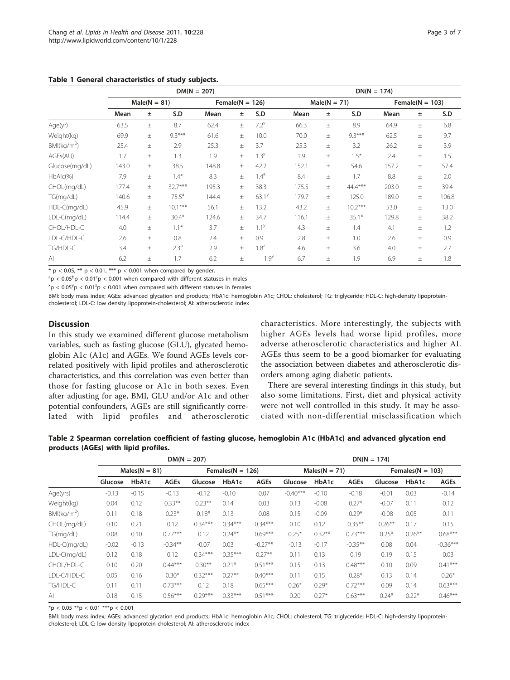|                         | $DM(N = 207)$  |          |                  |       |                     |                   | $DN(N = 174)$  |          |           |                     |       |       |  |
|-------------------------|----------------|----------|------------------|-------|---------------------|-------------------|----------------|----------|-----------|---------------------|-------|-------|--|
|                         | $Male(N = 81)$ |          |                  |       | Female( $N = 126$ ) |                   | $Male(N = 71)$ |          |           | Female( $N = 103$ ) |       |       |  |
|                         | Mean           | Ŧ.       | S.D              | Mean  | $\pm$               | S.D               | Mean           | ±.       | S.D       | Mean                | $\pm$ | S.D   |  |
| Age(yr)                 | 63.5           | $_{\pm}$ | 8.7              | 62.4  | $\pm$               | $7.2^{y}$         | 66.3           | $\pm$    | 8.9       | 64.9                | $\pm$ | 6.8   |  |
| Weight(kg)              | 69.9           | 土        | $9.3***$         | 61.6  | $\pm$               | 10.0              | 70.0           | $\pm$    | $9.3***$  | 62.5                | $\pm$ | 9.7   |  |
| BMl(kq/m <sup>2</sup> ) | 25.4           | 土        | 2.9              | 25.3  | $\pm$               | 3.7               | 25.3           | $\pm$    | 3.2       | 26.2                | $\pm$ | 3.9   |  |
| AGEs(AU)                | 1.7            | 土        | 1.3              | 1.9   | $\pm$               | $1.3^{y}$         | 1.9            | $\pm$    | $1.5*$    | 2.4                 | $\pm$ | 1.5   |  |
| Glucose(mg/dL)          | 143.0          | 土        | 38.5             | 148.8 | $\pm$               | 42.2              | 152.1          | $\pm$    | 54.6      | 157.2               | $\pm$ | 57.4  |  |
| $HbAlc(\%)$             | 7.9            | $_{\pm}$ | $1.4*$           | 8.3   | $\pm$               | $1.4^{\text{a}}$  | 8.4            | $\pm$    | 1.7       | 8.8                 | $\pm$ | 2.0   |  |
| CHOL(mg/dL)             | 177.4          | $_{\pm}$ | 32.7***          | 195.3 | $\pm$               | 38.3              | 175.5          | $\pm$    | 44.4***   | 203.0               | $\pm$ | 39.4  |  |
| TG(mg/dL)               | 140.6          | $_{\pm}$ | $75.5^{\circ}$   | 144.4 | $+$                 | 63.1 <sup>y</sup> | 179.7          | $\pm$    | 125.0     | 189.0               | $\pm$ | 106.8 |  |
| HDL-C(mg/dL)            | 45.9           | 土        | $10.1***$        | 56.1  | $\pm$               | 13.2              | 43.2           | $\pm$    | $10.2***$ | 53.0                | $\pm$ | 13.0  |  |
| LDL-C(mg/dL)            | 114.4          | $_{\pm}$ | $30.4*$          | 124.6 | $\pm$               | 34.7              | 116.1          | $_{\pm}$ | $35.1*$   | 129.8               | $\pm$ | 38.2  |  |
| CHOL/HDL-C              | 4.0            | 土        | $1.1*$           | 3.7   | $\pm$               | $1.1^{y}$         | 4.3            | $\pm$    | 1.4       | 4.1                 | $\pm$ | 1.2   |  |
| LDL-C/HDL-C             | 2.6            | $_{\pm}$ | 0.8              | 2.4   | $\pm$               | 0.9               | 2.8            | 土        | 1.0       | 2.6                 | $\pm$ | 0.9   |  |
| TG/HDL-C                | 3.4            | $\pm$    | 2.3 <sup>a</sup> | 2.9   | $\pm$               | $1.8^{z}$         | 4.6            | $\pm$    | 3.6       | 4.0                 | $\pm$ | 2.7   |  |
| $\mathsf{A}$            | 6.2            | 土        | 1.7              | 6.2   | $\pm$               | 1.9 <sup>y</sup>  | 6.7            | 土        | 1.9       | 6.9                 | 土     | 1.8   |  |

<span id="page-2-0"></span>Table 1 General characteristics of study subjects.

\*  $p < 0.05$ , \*\*  $p < 0.01$ , \*\*\*  $p < 0.001$  when compared by gender.

 $\rm{^{a}p< 0.05^{b}p< 0.01^{c}p< 0.001}$  when compared with different statuses in males

 $x^{\text{max}}$   $> 0.05^{\text{y}}$  p  $< 0.01^{\text{z}}$  p  $< 0.001$  when compared with different statuses in females

BMI: body mass index; AGEs: advanced glycation end products; HbA1c: hemoglobin A1c; CHOL: cholesterol; TG: triglyceride; HDL-C: high-density lipoproteincholesterol; LDL-C: low density lipoprotein-cholesterol; AI: atherosclerotic index

# **Discussion**

In this study we examined different glucose metabolism variables, such as fasting glucose (GLU), glycated hemoglobin A1c (A1c) and AGEs. We found AGEs levels correlated positively with lipid profiles and atherosclerotic characteristics, and this correlation was even better than those for fasting glucose or A1c in both sexes. Even after adjusting for age, BMI, GLU and/or A1c and other potential confounders, AGEs are still significantly correlated with lipid profiles and atherosclerotic

characteristics. More interestingly, the subjects with higher AGEs levels had worse lipid profiles, more adverse atherosclerotic characteristics and higher AI. AGEs thus seem to be a good biomarker for evaluating the association between diabetes and atherosclerotic disorders among aging diabetic patients.

There are several interesting findings in this study, but also some limitations. First, diet and physical activity were not well controlled in this study. It may be associated with non-differential misclassification which

Table 2 Spearman correlation coefficient of fasting glucose, hemoglobin A1c (HbA1c) and advanced glycation end products (AGEs) with lipid profiles.

|                         | $DM(N = 207)$   |         |             |           |                      |             |            | $DN(N = 174)$   |             |           |                      |             |  |  |
|-------------------------|-----------------|---------|-------------|-----------|----------------------|-------------|------------|-----------------|-------------|-----------|----------------------|-------------|--|--|
|                         | $Males(N = 81)$ |         |             |           | Females( $N = 126$ ) |             |            | $Males(N = 71)$ |             |           | Females( $N = 103$ ) |             |  |  |
|                         | Glucose         | HbA1c   | <b>AGEs</b> | Glucose   | HbA1c                | <b>AGEs</b> | Glucose    | HbA1c           | <b>AGEs</b> | Glucose   | HbA1c                | <b>AGEs</b> |  |  |
| Age(yrs)                | $-0.13$         | $-0.15$ | $-0.13$     | $-0.12$   | $-0.10$              | 0.07        | $-0.40***$ | $-0.10$         | $-0.18$     | $-0.01$   | 0.03                 | $-0.14$     |  |  |
| Weight(kg)              | 0.04            | 0.12    | $0.33***$   | $0.23***$ | 0.14                 | 0.03        | 0.13       | $-0.08$         | $0.27*$     | $-0.07$   | 0.11                 | 0.12        |  |  |
| BMl(kq/m <sup>2</sup> ) | 0.11            | 0.18    | $0.23*$     | $0.18*$   | 0.13                 | 0.08        | 0.15       | $-0.09$         | $0.29*$     | $-0.08$   | 0.05                 | 0.11        |  |  |
| CHOL(mg/dL)             | 0.10            | 0.21    | 0.12        | $0.34***$ | $0.34***$            | $0.34***$   | 0.10       | 0.12            | $0.35***$   | $0.26***$ | 0.17                 | 0.15        |  |  |
| TG(mg/dL)               | 0.08            | 0.10    | $0.77***$   | 0.12      | $0.24***$            | $0.69***$   | $0.25*$    | $0.32***$       | $0.73***$   | $0.25*$   | $0.26***$            | $0.68***$   |  |  |
| HDL-C(mg/dL)            | $-0.02$         | $-0.13$ | $-0.34***$  | $-0.07$   | 0.03                 | $-0.27**$   | $-0.13$    | $-0.17$         | $-0.35***$  | 0.08      | 0.04                 | $-0.36***$  |  |  |
| $LDL-C(mq/dL)$          | 0.12            | 0.18    | 0.12        | $0.34***$ | $0.35***$            | $0.27***$   | 0.11       | 0.13            | 0.19        | 0.19      | 0.15                 | 0.03        |  |  |
| CHOL/HDL-C              | 0.10            | 0.20    | $0.44***$   | $0.30**$  | $0.21*$              | $0.51***$   | 0.15       | 0.13            | $0.48***$   | 0.10      | 0.09                 | $0.41***$   |  |  |
| LDL-C/HDL-C             | 0.05            | 0.16    | $0.30*$     | $0.32***$ | $0.27**$             | $0.40***$   | 0.11       | 0.15            | $0.28*$     | 0.13      | 0.14                 | $0.26*$     |  |  |
| TG/HDL-C                | 0.11            | 0.11    | $0.73***$   | 0.12      | 0.18                 | $0.65***$   | $0.26*$    | $0.29*$         | $0.72***$   | 0.09      | 0.14                 | $0.63***$   |  |  |
| $\mathsf{A}$            | 0.18            | 0.15    | $0.56***$   | $0.29***$ | $0.33***$            | $0.51***$   | 0.20       | $0.27*$         | $0.63***$   | $0.24*$   | $0.22*$              | $0.46***$   |  |  |

 $*$ p < 0.05  $**$ p < 0.01  $***$ p < 0.001

BMI: body mass index; AGEs: advanced glycation end products; HbA1c: hemoglobin A1c; CHOL: cholesterol; TG: triglyceride; HDL-C: high-density lipoproteincholesterol; LDL-C: low density lipoprotein-cholesterol; AI: atherosclerotic index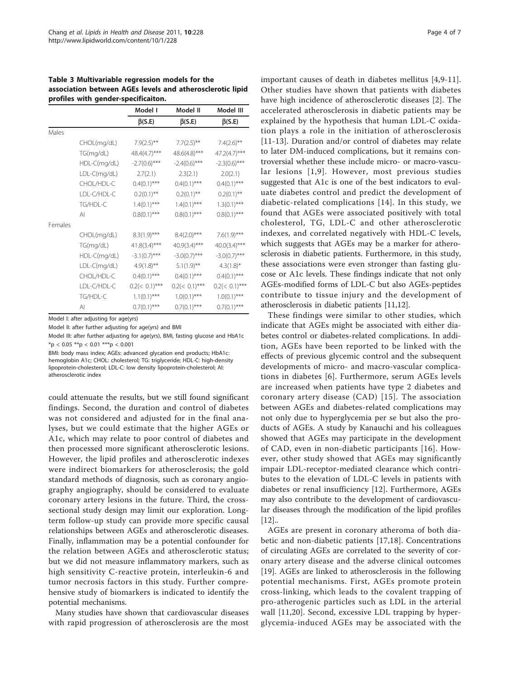<span id="page-3-0"></span>Table 3 Multivariable regression models for the association between AGEs levels and atherosclerotic lipid profiles with gender-specificaiton.

|         |              | Model I          | Model II         | Model III        |
|---------|--------------|------------------|------------------|------------------|
|         |              | $\beta$ (S.E)    | $\beta$ (S.E)    | $\beta$ (S.E)    |
| Males   |              |                  |                  |                  |
|         | CHOL(mg/dL)  | $7.9(2.5)$ **    | $7.7(2.5)$ **    | $7.4(2.6)$ **    |
|         | TG(mg/dL)    | 48.4(4.7)***     | 48.6(4.8)***     | 47.2(4.7)***     |
|         | HDL-C(mg/dL) | $-2.7(0.6)$ ***  | $-2.4(0.6)$ ***  | $-2.3(0.6)$ ***  |
|         | LDL-C(mg/dL) | 2.7(2.1)         | 2.3(2.1)         | 2.0(2.1)         |
|         | CHOL/HDL-C   | $0.4(0.1)$ ***   | $0.4(0.1)$ ***   | $0.4(0.1)$ ***   |
|         | LDL-C/HDL-C  | $0.2(0.1)$ **    | $0.2(0.1)$ **    | $0.2(0.1)$ **    |
|         | TG/HDL-C     | $1.4(0.1)$ ***   | $1.4(0.1)$ ***   | $1.3(0.1)$ ***   |
|         | Al           | $0.8(0.1)$ ***   | $0.8(0.1)$ ***   | $0.8(0.1)$ ***   |
| Females |              |                  |                  |                  |
|         | CHOL(mg/dL)  | $8.3(1.9)$ ***   | $8.4(2.0)$ ***   | $7.6(1.9)$ ***   |
|         | TG(mg/dL)    | $41.8(3.4)$ ***  | $40.9(3.4)$ ***  | $40.0(3.4)$ ***  |
|         | HDL-C(mg/dL) | $-3.1(0.7)$ ***  | $-3.0(0.7)$ ***  | $-3.0(0.7)$ ***  |
|         | LDL-C(mg/dL) | $4.9(1.8)$ **    | $5.1(1.9)$ **    | $4.3(1.8)$ *     |
|         | CHOL/HDL-C   | $0.4(0.1)$ ***   | $0.4(0.1)$ ***   | $0.4(0.1)$ ***   |
|         | LDL-C/HDL-C  | $0.2(< 0.1)$ *** | $0.2(< 0.1)$ *** | $0.2(< 0.1)$ *** |
|         | TG/HDL-C     | $1.1(0.1)$ ***   | $1.0(0.1)$ ***   | $1.0(0.1)$ ***   |
|         | ΑI           | $0.7(0.1)$ ***   | $0.7(0.1)$ ***   | $0.7(0.1)$ ***   |

Model I: after adjusting for age(yrs)

Model II: after further adjusting for age(yrs) and BMI

Model III: after further adjusting for age(yrs), BMI, fasting glucose and HbA1c  $*$ p < 0.05  $**$ p < 0.01  $***$ p < 0.001

BMI: body mass index; AGEs: advanced glycation end products; HbA1c: hemoglobin A1c; CHOL: cholesterol; TG: triglyceride; HDL-C: high-density lipoprotein-cholesterol; LDL-C: low density lipoprotein-cholesterol; AI: atherosclerotic index

could attenuate the results, but we still found significant findings. Second, the duration and control of diabetes was not considered and adjusted for in the final analyses, but we could estimate that the higher AGEs or A1c, which may relate to poor control of diabetes and then processed more significant atherosclerotic lesions. However, the lipid profiles and atherosclerotic indexes were indirect biomarkers for atherosclerosis; the gold standard methods of diagnosis, such as coronary angiography angiography, should be considered to evaluate coronary artery lesions in the future. Third, the crosssectional study design may limit our exploration. Longterm follow-up study can provide more specific causal relationships between AGEs and atherosclerotic diseases. Finally, inflammation may be a potential confounder for the relation between AGEs and atherosclerotic status; but we did not measure inflammatory markers, such as high sensitivity C-reactive protein, interleukin-6 and tumor necrosis factors in this study. Further comprehensive study of biomarkers is indicated to identify the potential mechanisms.

Many studies have shown that cardiovascular diseases with rapid progression of atherosclerosis are the most important causes of death in diabetes mellitus [\[4,9-11](#page-5-0)]. Other studies have shown that patients with diabetes have high incidence of atherosclerotic diseases [\[2](#page-5-0)]. The accelerated atherosclerosis in diabetic patients may be explained by the hypothesis that human LDL-C oxidation plays a role in the initiation of atherosclerosis [[11-13\]](#page-5-0). Duration and/or control of diabetes may relate to later DM-induced complications, but it remains controversial whether these include micro- or macro-vascular lesions [[1,9\]](#page-5-0). However, most previous studies suggested that A1c is one of the best indicators to evaluate diabetes control and predict the development of diabetic-related complications [[14](#page-5-0)]. In this study, we found that AGEs were associated positively with total cholesterol, TG, LDL-C and other atherosclerotic indexes, and correlated negatively with HDL-C levels, which suggests that AGEs may be a marker for atherosclerosis in diabetic patients. Furthermore, in this study, these associations were even stronger than fasting glucose or A1c levels. These findings indicate that not only AGEs-modified forms of LDL-C but also AGEs-peptides contribute to tissue injury and the development of atherosclerosis in diabetic patients [\[11,12\]](#page-5-0).

These findings were similar to other studies, which indicate that AGEs might be associated with either diabetes control or diabetes-related complications. In addition, AGEs have been reported to be linked with the effects of previous glycemic control and the subsequent developments of micro- and macro-vascular complications in diabetes [[6](#page-5-0)]. Furthermore, serum AGEs levels are increased when patients have type 2 diabetes and coronary artery disease (CAD) [[15](#page-5-0)]. The association between AGEs and diabetes-related complications may not only due to hyperglycemia per se but also the products of AGEs. A study by Kanauchi and his colleagues showed that AGEs may participate in the development of CAD, even in non-diabetic participants [[16](#page-5-0)]. However, other study showed that AGEs may significantly impair LDL-receptor-mediated clearance which contributes to the elevation of LDL-C levels in patients with diabetes or renal insufficiency [\[12](#page-5-0)]. Furthermore, AGEs may also contribute to the development of cardiovascular diseases through the modification of the lipid profiles  $[12]$  $[12]$ ...

AGEs are present in coronary atheroma of both diabetic and non-diabetic patients [[17,18](#page-5-0)]. Concentrations of circulating AGEs are correlated to the severity of coronary artery disease and the adverse clinical outcomes [[19\]](#page-5-0). AGEs are linked to atherosclerosis in the following potential mechanisms. First, AGEs promote protein cross-linking, which leads to the covalent trapping of pro-atherogenic particles such as LDL in the arterial wall [\[11](#page-5-0),[20\]](#page-5-0). Second, excessive LDL trapping by hyperglycemia-induced AGEs may be associated with the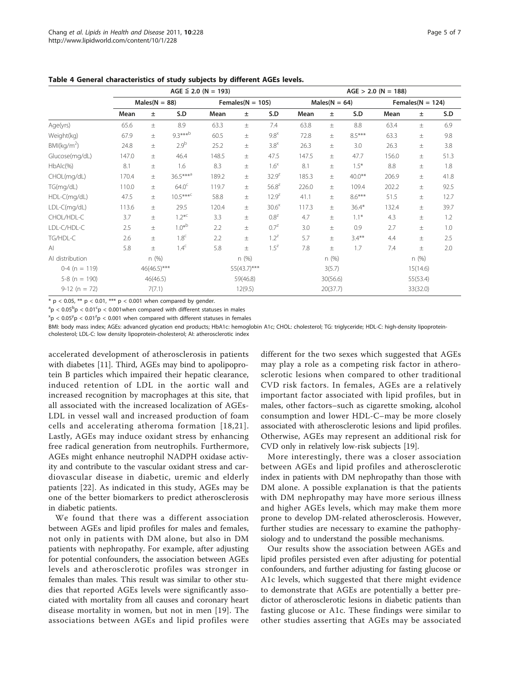|                         | $AGE \leq 2.0$ (N = 193) |          |                      |             |                      |                   |                 | $AGE > 2.0$ (N = 188) |           |                      |       |      |  |  |
|-------------------------|--------------------------|----------|----------------------|-------------|----------------------|-------------------|-----------------|-----------------------|-----------|----------------------|-------|------|--|--|
|                         | $Males(N = 88)$          |          |                      |             | Females( $N = 105$ ) |                   | $Males(N = 64)$ |                       |           | Females( $N = 124$ ) |       |      |  |  |
|                         | Mean                     | Ŧ        | S.D                  | Mean        | $\pm$                | S.D               | Mean            | Ŧ                     | S.D       | Mean                 | Ŧ     | S.D  |  |  |
| Age(yrs)                | 65.6                     | $\pm$    | 8.9                  | 63.3        | $\pm$                | 7.4               | 63.8            | $\pm$                 | 8.8       | 63.4                 | $\pm$ | 6.9  |  |  |
| Weight(kg)              | 67.9                     | $\pm$    | $9.3***b$            | 60.5        | 土                    | $9.8^{\times}$    | 72.8            | 土                     | $8.5***$  | 63.3                 | $\pm$ | 9.8  |  |  |
| BMl(kg/m <sup>2</sup> ) | 24.8                     | 土        | 2.9 <sup>b</sup>     | 25.2        | 土                    | $3.8^{\times}$    | 26.3            | $\pm$                 | 3.0       | 26.3                 | 土     | 3.8  |  |  |
| Glucose(mg/dL)          | 147.0                    | 土        | 46.4                 | 148.5       | $\pm$                | 47.5              | 147.5           | $\pm$                 | 47.7      | 156.0                | $\pm$ | 51.3 |  |  |
| $HbAlc(\%)$             | 8.1                      | $\pm$    | 1.6                  | 8.3         | $\pm$                | $1.6^{\times}$    | 8.1             | $\pm$                 | $1.5*$    | 8.8                  | $\pm$ | 1.8  |  |  |
| CHOL(mg/dL)             | 170.4                    | 土        | $36.5***^{\text{a}}$ | 189.2       | $\pm$                | $32.9^{z}$        | 185.3           | 土                     | $40.0***$ | 206.9                | 土     | 41.8 |  |  |
| TG(mg/dL)               | 110.0                    | $\pm$    | 64.0 <sup>c</sup>    | 119.7       | 土                    | $56.8^{2}$        | 226.0           | $\pm$                 | 109.4     | 202.2                | 土     | 92.5 |  |  |
| HDL-C(mg/dL)            | 47.5                     | 土        | $10.5***c$           | 58.8        | 土                    | $12.9^z$          | 41.1            | 土                     | $8.6***$  | 51.5                 | 土     | 12.7 |  |  |
| LDL-C(mg/dL)            | 113.6                    | $\pm$    | 29.5                 | 120.4       | 土                    | 30.6 <sup>×</sup> | 117.3           | $\pm$                 | $36.4*$   | 132.4                | $\pm$ | 39.7 |  |  |
| CHOL/HDL-C              | 3.7                      | 土        | $1.2^{*c}$           | 3.3         | $\pm$                | $0.8^z$           | 4.7             | $\pm$                 | $1.1*$    | 4.3                  | $\pm$ | 1.2  |  |  |
| LDL-C/HDL-C             | 2.5                      | 土        | $1.0*^{b}$           | 2.2         | 土                    | $0.7^{z}$         | 3.0             | $\pm$                 | 0.9       | 2.7                  | 土     | 1.0  |  |  |
| TG/HDL-C                | 2.6                      | $\pm$    | 1.8 <sup>c</sup>     | 2.2         | $\pm$                | $1.2^z$           | 5.7             | $\pm$                 | $3.4***$  | 4.4                  | $\pm$ | 2.5  |  |  |
| $\mathsf{A}$            | 5.8                      | 土        | 1.4 <sup>c</sup>     | 5.8         | 土                    | $1.5^z$           | 7.8             | 土                     | 1.7       | 7.4                  | 土     | 2.0  |  |  |
| Al distribution         | n(%)                     |          | n(%)                 |             | n(%)                 |                   |                 | n(%)                  |           |                      |       |      |  |  |
| $0-4$ (n = 119)         | 46(46.5)***              |          |                      | 55(43.7)*** |                      |                   | 3(5.7)          |                       |           | 15(14.6)             |       |      |  |  |
| $5-8$ (n = 190)         |                          | 46(46.5) |                      | 59(46.8)    |                      |                   | 30(56.6)        |                       |           | 55(53.4)             |       |      |  |  |
| $9-12(n = 72)$          | 7(7.1)                   |          |                      | 12(9.5)     |                      |                   | 20(37.7)        |                       |           | 33(32.0)             |       |      |  |  |

<span id="page-4-0"></span>Table 4 General characteristics of study subjects by different AGEs levels.

\*  $p < 0.05$ , \*\*  $p < 0.01$ , \*\*\*  $p < 0.001$  when compared by gender.

 $\rm{^{a}p< 0.05^{b}p< 0.01^{c}p< 0.001}$  when compared with different statuses in males

 $\alpha$ <sup>x</sup>p < 0.05<sup>y</sup>p < 0.01<sup>z</sup>p < 0.001 when compared with different statuses in females

BMI: body mass index; AGEs: advanced glycation end products; HbA1c: hemoglobin A1c; CHOL: cholesterol; TG: triglyceride; HDL-C: high-density lipoproteincholesterol; LDL-C: low density lipoprotein-cholesterol; AI: atherosclerotic index

accelerated development of atherosclerosis in patients with diabetes [[11\]](#page-5-0). Third, AGEs may bind to apolipoprotein B particles which impaired their hepatic clearance, induced retention of LDL in the aortic wall and increased recognition by macrophages at this site, that all associated with the increased localization of AGEs-LDL in vessel wall and increased production of foam cells and accelerating atheroma formation [[18](#page-5-0),[21\]](#page-5-0). Lastly, AGEs may induce oxidant stress by enhancing free radical generation from neutrophils. Furthermore, AGEs might enhance neutrophil NADPH oxidase activity and contribute to the vascular oxidant stress and cardiovascular disease in diabetic, uremic and elderly patients [[22](#page-5-0)]. As indicated in this study, AGEs may be one of the better biomarkers to predict atherosclerosis in diabetic patients.

We found that there was a different association between AGEs and lipid profiles for males and females, not only in patients with DM alone, but also in DM patients with nephropathy. For example, after adjusting for potential confounders, the association between AGEs levels and atherosclerotic profiles was stronger in females than males. This result was similar to other studies that reported AGEs levels were significantly associated with mortality from all causes and coronary heart disease mortality in women, but not in men [\[19\]](#page-5-0). The associations between AGEs and lipid profiles were different for the two sexes which suggested that AGEs may play a role as a competing risk factor in atherosclerotic lesions when compared to other traditional CVD risk factors. In females, AGEs are a relatively important factor associated with lipid profiles, but in males, other factors–such as cigarette smoking, alcohol consumption and lower HDL-C–may be more closely associated with atherosclerotic lesions and lipid profiles. Otherwise, AGEs may represent an additional risk for CVD only in relatively low-risk subjects [[19](#page-5-0)].

More interestingly, there was a closer association between AGEs and lipid profiles and atherosclerotic index in patients with DM nephropathy than those with DM alone. A possible explanation is that the patients with DM nephropathy may have more serious illness and higher AGEs levels, which may make them more prone to develop DM-related atherosclerosis. However, further studies are necessary to examine the pathophysiology and to understand the possible mechanisms.

Our results show the association between AGEs and lipid profiles persisted even after adjusting for potential confounders, and further adjusting for fasting glucose or A1c levels, which suggested that there might evidence to demonstrate that AGEs are potentially a better predictor of atherosclerotic lesions in diabetic patients than fasting glucose or A1c. These findings were similar to other studies asserting that AGEs may be associated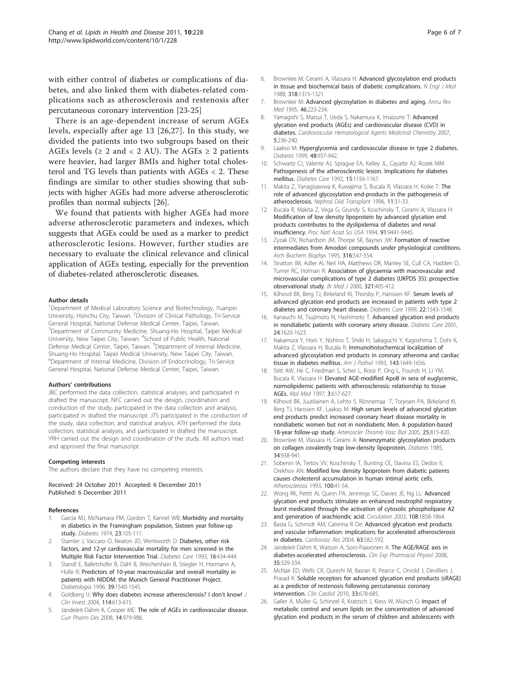<span id="page-5-0"></span>with either control of diabetes or complications of diabetes, and also linked them with diabetes-related complications such as atherosclerosis and restenosis after percutaneous coronary intervention [23-25]

There is an age-dependent increase of serum AGEs levels, especially after age 13 [26,[27\]](#page-6-0). In this study, we divided the patients into two subgroups based on their AGEs levels ( $\geq 2$  and  $\lt 2$  AU). The AGEs  $\geq 2$  patients were heavier, had larger BMIs and higher total cholesterol and TG levels than patients with AGEs < 2. These findings are similar to other studies showing that subjects with higher AGEs had more adverse atherosclerotic profiles than normal subjects [26].

We found that patients with higher AGEs had more adverse atherosclerotic parameters and indexes, which suggests that AGEs could be used as a marker to predict atherosclerotic lesions. However, further studies are necessary to evaluate the clinical relevance and clinical application of AGEs testing, especially for the prevention of diabetes-related atherosclerotic diseases.

#### Author details

<sup>1</sup>Department of Medical Laboratory Science and Biotechnology, Yuanpei University, Hsinchu City, Taiwan. <sup>2</sup> Division of Clinical Pathology, Tri-Service General Hospital, National Defense Medical Center, Taipei, Taiwan. <sup>3</sup>Department of Community Medicine, Shuang-Ho Hospital, Taipei Medical University, New Taipei City, Taiwan. <sup>4</sup>School of Public Health, National Defense Medical Center, Taipei, Taiwan. <sup>5</sup>Department of Internal Medicine, Shuang-Ho Hospital, Taipei Medical University, New Taipei City, Taiwan. 6 Department of Internal Medicine, Division of Endocrinology, Tri-Service General Hospital, National Defense Medical Center, Taipei, Taiwan.

#### Authors' contributions

JBC performed the data collection, statistical analyses, and participated in drafted the manuscript. NFC carried out the design, coordination and conduction of the study, participated in the data collection and analysis, participated in drafted the manuscript. JTS participated in the conduction of the study, data collection, and statistical analysis. ATH performed the data collection, statistical analyses, and participated in drafted the manuscript. YRH carried out the design and coordination of the study. All authors read and approved the final manuscript.

#### Competing interests

The authors declare that they have no competing interests.

Received: 24 October 2011 Accepted: 6 December 2011 Published: 6 December 2011

#### References

- 1. Garcia MJ, McNamara PM, Gordon T, Kannel WB: [Morbidity and mortality](http://www.ncbi.nlm.nih.gov/pubmed/4359625?dopt=Abstract) [in diabetics in the Framingham population, Sixteen year follow-up](http://www.ncbi.nlm.nih.gov/pubmed/4359625?dopt=Abstract) [study.](http://www.ncbi.nlm.nih.gov/pubmed/4359625?dopt=Abstract) Diabetes 1974, 23:105-111.
- 2. Stamler J, Vaccaro O, Neaton JD, Wentworth D: [Diabetes, other risk](http://www.ncbi.nlm.nih.gov/pubmed/8432214?dopt=Abstract) [factors, and 12-yr cardiovascular mortality for men screened in the](http://www.ncbi.nlm.nih.gov/pubmed/8432214?dopt=Abstract) [Multiple Risk Factor Intervention Trial.](http://www.ncbi.nlm.nih.gov/pubmed/8432214?dopt=Abstract) Diabetes Care 1993, 16:434-444.
- 3. Standl E, Balletshofer B, Dahl B, Weichenhain B, Stiegler H, Hormann A, Holle R: [Predictors of 10-year macrovascular and overall mortality in](http://www.ncbi.nlm.nih.gov/pubmed/8960840?dopt=Abstract) [patients with NIDDM: the Munich General Practitioner Project.](http://www.ncbi.nlm.nih.gov/pubmed/8960840?dopt=Abstract) Diabetologia 1996, 39:1540-1545.
- 4. Goldberg IJ: [Why does diabetes increase atherosclerosis? I don](http://www.ncbi.nlm.nih.gov/pubmed/15343377?dopt=Abstract)'t know! J Clin Invest 2004, 114:613-615.
- Jandeleit-Dahm K, Cooper ME: [The role of AGEs in cardiovascular disease.](http://www.ncbi.nlm.nih.gov/pubmed/18473849?dopt=Abstract) Curr Pharm Des 2008, 14:979-986.
- 6. Brownlee M, Cerami A, Vlassara H: [Advanced glycosylation end products](http://www.ncbi.nlm.nih.gov/pubmed/3283558?dopt=Abstract) [in tissue and biochemical basis of diabetic complications.](http://www.ncbi.nlm.nih.gov/pubmed/3283558?dopt=Abstract) N Engl J Med 1988, 318:1315-1321.
- 7. Brownlee M: [Advanced glycosylation in diabetes and aging.](http://www.ncbi.nlm.nih.gov/pubmed/7598459?dopt=Abstract) Annu Rev Med 1995 **46**:223-234
- 8. Yamagishi S, Matsui T, Ueda S, Nakamura K, Imaizumi T: Advanced glycation end products (AGEs) and cardiovascular disease (CVD) in diabetes. Cardiovascular Hematological Agents Medicinal Chemistry 2007, 5:236-240.
- 9. Laakso M: [Hyperglycemia and cardiovascular disease in type 2 diabetes.](http://www.ncbi.nlm.nih.gov/pubmed/10331395?dopt=Abstract) Diabetes 1999, 48:937-942.
- 10. Schwartz CJ, Valente AJ, Sprague EA, Kelley JL, Cayatte AJ, Rozek MM: [Pathogenesis of the atherosclerotic lesion. Implications for diabetes](http://www.ncbi.nlm.nih.gov/pubmed/1396013?dopt=Abstract) [mellitus.](http://www.ncbi.nlm.nih.gov/pubmed/1396013?dopt=Abstract) Diabetes Care 1992, 15:1156-1167.
- 11. Makita Z, Yanagisawwa K, Kuwajima S, Bucala R, Vlassara H, Koike T: [The](http://www.ncbi.nlm.nih.gov/pubmed/9050032?dopt=Abstract) [role of advanced glycosylation end-products in the pathogenesis of](http://www.ncbi.nlm.nih.gov/pubmed/9050032?dopt=Abstract) [atherosclerosis.](http://www.ncbi.nlm.nih.gov/pubmed/9050032?dopt=Abstract) Nephrol Dial Transplant 1996, 11:31-33.
- 12. Bucala R, Makita Z, Vega G, Grundy S, Koschinsky T, Cerami A, Vlassara H: [Modification of low density lipoprotein by advanced glycation end](http://www.ncbi.nlm.nih.gov/pubmed/7937786?dopt=Abstract) [products contributes to the dyslipidemia of diabetes and renal](http://www.ncbi.nlm.nih.gov/pubmed/7937786?dopt=Abstract) [insufficiency.](http://www.ncbi.nlm.nih.gov/pubmed/7937786?dopt=Abstract) Proc Natl Acad Sci USA 1994, 91:9441-9445.
- 13. Zyzak DV, Richardson JM, Thorpe SR, Baynes JW: [Formation of reactive](http://www.ncbi.nlm.nih.gov/pubmed/7840665?dopt=Abstract) [intermediates from Amodori compounds under physiological conditions.](http://www.ncbi.nlm.nih.gov/pubmed/7840665?dopt=Abstract) Arch Biochem Biophys 1995, 316:547-554.
- 14. Stratton IM, Adler AI, Neil HA, Matthews DR, Manley SE, Cull CA, Hadden D, Turner RC, Holman R: Association of glycaemia with macrovascular and microvascular complications of type 2 diabetes (UKPDS 35): prospective observational study. Br Med J 2000, 321:405-412.
- 15. Kilhovd BK, Berg TJ, Birkeland KI, Thorsby P, Hanssen KF: [Serum levels of](http://www.ncbi.nlm.nih.gov/pubmed/10480523?dopt=Abstract) [advanced glycation end products are increased in patients with type 2](http://www.ncbi.nlm.nih.gov/pubmed/10480523?dopt=Abstract) [diabetes and coronary heart disease.](http://www.ncbi.nlm.nih.gov/pubmed/10480523?dopt=Abstract) Diabetes Care 1999, 22:1543-1548.
- 16. Kanauchi M, Tsujimoto N, Hashimoto T: Advanced glycation end products in nondiabetic patients with coronary artery disease. Diabetic Care 2001, 24:1620-1623.
- 17. Nakamura Y, Horii Y, Nishino T, Shiiki H, Sakaguchi Y, Kagoshima T, Dohi K, Makita Z, Vlassara H, Bucala R: [Immunohistochemical localization of](http://www.ncbi.nlm.nih.gov/pubmed/8256853?dopt=Abstract) [advanced glycosylation end products in coronary atheroma and cardiac](http://www.ncbi.nlm.nih.gov/pubmed/8256853?dopt=Abstract) [tissue in diabetes mellitus.](http://www.ncbi.nlm.nih.gov/pubmed/8256853?dopt=Abstract) Am J Pathol 1993, 143:1649-1656.
- 18. Stitt AW, He C, Friedman S, Scher L, Rossi P, Ong L, Founds H, Li YM, Bucala R, Vlassara H: [Elevated AGE-modified ApoB in sera of euglycemic,](http://www.ncbi.nlm.nih.gov/pubmed/9323713?dopt=Abstract) [normolipidemic patients with atherosclerosis: relationship to tissue](http://www.ncbi.nlm.nih.gov/pubmed/9323713?dopt=Abstract) [AGEs.](http://www.ncbi.nlm.nih.gov/pubmed/9323713?dopt=Abstract) Mol Med 1997, 3:617-627.
- 19. Kilhovd BK, Juutilainen A, Lehto S, Rönnemaa T, Torjesen PA, Birkeland KI, Berg TJ, Hanssen KF, Laakso M: [High serum levels of advanced glycation](http://www.ncbi.nlm.nih.gov/pubmed/15692098?dopt=Abstract) [end products predict increased coronary heart disease mortality in](http://www.ncbi.nlm.nih.gov/pubmed/15692098?dopt=Abstract) [nondiabetic women but not in nondiabetic Men. A population-based](http://www.ncbi.nlm.nih.gov/pubmed/15692098?dopt=Abstract) [18-year follow-up study.](http://www.ncbi.nlm.nih.gov/pubmed/15692098?dopt=Abstract) Arterioscler Thromb Vasc Biol 2005, 25:815-820.
- 20. Brownlee M, Vlassara H, Cerami A: [Nonenzymatic glycosylation products](http://www.ncbi.nlm.nih.gov/pubmed/4029512?dopt=Abstract) [on collagen covalently trap low-density lipoprotein.](http://www.ncbi.nlm.nih.gov/pubmed/4029512?dopt=Abstract) Diabetes 1985, 34:938-941.
- 21. Sobenin IA, Tertov W, Koschinsky T, Bunting CE, Slavina ES, Dedov II, Orekhov AN: [Modified low density lipoprotein from diabetic patients](http://www.ncbi.nlm.nih.gov/pubmed/8318062?dopt=Abstract) [causes cholesterol accumulation in human intimal aortic cells.](http://www.ncbi.nlm.nih.gov/pubmed/8318062?dopt=Abstract) Atherosclerosis 1993, 100:41-54.
- 22. Wong RK, Pettit AI, Quinn PA, Jennings SC, Davies JE, Ng LL: [Advanced](http://www.ncbi.nlm.nih.gov/pubmed/12963645?dopt=Abstract) [glycation end products stimulate an enhanced neutrophil respiratory](http://www.ncbi.nlm.nih.gov/pubmed/12963645?dopt=Abstract) [burst medicated through the activation of cytosolic phospholipase A2](http://www.ncbi.nlm.nih.gov/pubmed/12963645?dopt=Abstract) [and generation of arachiondic acid.](http://www.ncbi.nlm.nih.gov/pubmed/12963645?dopt=Abstract) Circulation 2003, 108:1858-1864.
- 23. Basta G, Schmidt AM, Caterina R De: [Advanced glycation end products](http://www.ncbi.nlm.nih.gov/pubmed/15306213?dopt=Abstract) [and vascular inflammation: implications for accelerated atherosclerosis](http://www.ncbi.nlm.nih.gov/pubmed/15306213?dopt=Abstract) [in diabetes.](http://www.ncbi.nlm.nih.gov/pubmed/15306213?dopt=Abstract) Cardiovasc Res 2004, 63:582-592.
- 24. Jandeleit-Dahm K, Watson A, Soro-Paavonen A: [The AGE/RAGE axis in](http://www.ncbi.nlm.nih.gov/pubmed/18290873?dopt=Abstract) [diabetes-accelerated atherosclerosis.](http://www.ncbi.nlm.nih.gov/pubmed/18290873?dopt=Abstract) Clin Exp Pharmacol Physiol 2008, 35:329-334.
- 25. McNair ED, Wells CR, Qureshi M, Basran R, Pearce C, Orvold J, Devilliers J, Prasad K: [Soluble receptors for advanced glycation end products \(sRAGE\)](http://www.ncbi.nlm.nih.gov/pubmed/21089112?dopt=Abstract) [as a predictor of restenosis following percutaneous coronary](http://www.ncbi.nlm.nih.gov/pubmed/21089112?dopt=Abstract) [intervention.](http://www.ncbi.nlm.nih.gov/pubmed/21089112?dopt=Abstract) Clin Cardiol 2010, 33:678-685.
- 26. Galler A, Müller G, Schinzel R, Kratzsch J, Kiess W, Münch G: [Impact of](http://www.ncbi.nlm.nih.gov/pubmed/12941727?dopt=Abstract) [metabolic control and serum lipids on the concentration of advanced](http://www.ncbi.nlm.nih.gov/pubmed/12941727?dopt=Abstract) [glycation end products in the serum of children and adolescents with](http://www.ncbi.nlm.nih.gov/pubmed/12941727?dopt=Abstract)